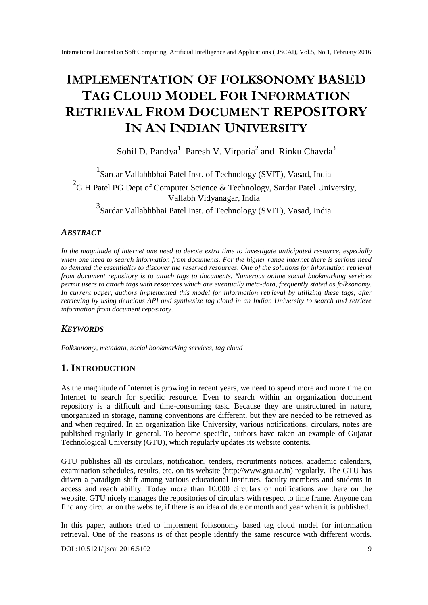# **IMPLEMENTATION OF FOLKSONOMY BASED TAG CLOUD MODEL FOR INFORMATION RETRIEVAL FROM DOCUMENT REPOSITORY IN AN INDIAN UNIVERSITY**

Sohil D. Pandya<sup>1</sup> Paresh V. Virparia<sup>2</sup> and Rinku Chavda<sup>3</sup>

1 Sardar Vallabhbhai Patel Inst. of Technology (SVIT), Vasad, India <sup>2</sup>G H Patel PG Dept of Computer Science & Technology, Sardar Patel University, Vallabh Vidyanagar, India 3 Sardar Vallabhbhai Patel Inst. of Technology (SVIT), Vasad, India

#### *ABSTRACT*

*In the magnitude of internet one need to devote extra time to investigate anticipated resource, especially when one need to search information from documents. For the higher range internet there is serious need to demand the essentiality to discover the reserved resources. One of the solutions for information retrieval from document repository is to attach tags to documents. Numerous online social bookmarking services permit users to attach tags with resources which are eventually meta-data, frequently stated as folksonomy. In current paper, authors implemented this model for information retrieval by utilizing these tags, after retrieving by using delicious API and synthesize tag cloud in an Indian University to search and retrieve information from document repository.*

#### *KEYWORDS*

*Folksonomy, metadata, social bookmarking services, tag cloud*

#### **1. INTRODUCTION**

As the magnitude of Internet is growing in recent years, we need to spend more and more time on Internet to search for specific resource. Even to search within an organization document repository is a difficult and time-consuming task. Because they are unstructured in nature, unorganized in storage, naming conventions are different, but they are needed to be retrieved as and when required. In an organization like University, various notifications, circulars, notes are published regularly in general. To become specific, authors have taken an example of Gujarat Technological University (GTU), which regularly updates its website contents.

GTU publishes all its circulars, notification, tenders, recruitments notices, academic calendars, examination schedules, results, etc. on its website (http://www.gtu.ac.in) regularly. The GTU has driven a paradigm shift among various educational institutes, faculty members and students in access and reach ability. Today more than 10,000 circulars or notifications are there on the website. GTU nicely manages the repositories of circulars with respect to time frame. Anyone can find any circular on the website, if there is an idea of date or month and year when it is published.

In this paper, authors tried to implement folksonomy based tag cloud model for information retrieval. One of the reasons is of that people identify the same resource with different words.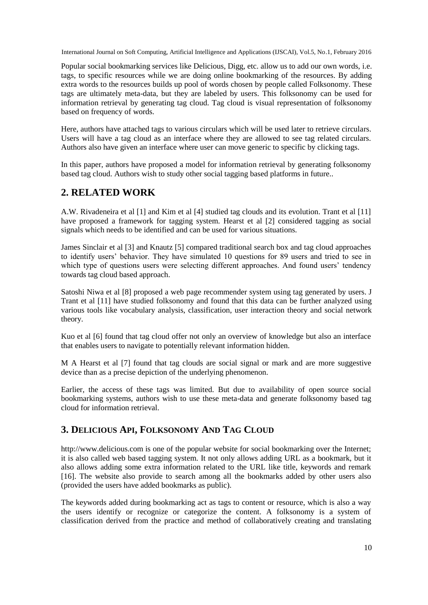Popular social bookmarking services like Delicious, Digg, etc. allow us to add our own words, i.e. tags, to specific resources while we are doing online bookmarking of the resources. By adding extra words to the resources builds up pool of words chosen by people called Folksonomy. These tags are ultimately meta-data, but they are labeled by users. This folksonomy can be used for information retrieval by generating tag cloud. Tag cloud is visual representation of folksonomy based on frequency of words.

Here, authors have attached tags to various circulars which will be used later to retrieve circulars. Users will have a tag cloud as an interface where they are allowed to see tag related circulars. Authors also have given an interface where user can move generic to specific by clicking tags.

In this paper, authors have proposed a model for information retrieval by generating folksonomy based tag cloud. Authors wish to study other social tagging based platforms in future..

# **2. RELATED WORK**

A.W. Rivadeneira et al [1] and Kim et al [4] studied tag clouds and its evolution. Trant et al [11] have proposed a framework for tagging system. Hearst et al [2] considered tagging as social signals which needs to be identified and can be used for various situations.

James Sinclair et al [3] and Knautz [5] compared traditional search box and tag cloud approaches to identify users' behavior. They have simulated 10 questions for 89 users and tried to see in which type of questions users were selecting different approaches. And found users' tendency towards tag cloud based approach.

Satoshi Niwa et al [8] proposed a web page recommender system using tag generated by users. J Trant et al [11] have studied folksonomy and found that this data can be further analyzed using various tools like vocabulary analysis, classification, user interaction theory and social network theory.

Kuo et al [6] found that tag cloud offer not only an overview of knowledge but also an interface that enables users to navigate to potentially relevant information hidden.

M A Hearst et al [7] found that tag clouds are social signal or mark and are more suggestive device than as a precise depiction of the underlying phenomenon.

Earlier, the access of these tags was limited. But due to availability of open source social bookmarking systems, authors wish to use these meta-data and generate folksonomy based tag cloud for information retrieval.

## **3. DELICIOUS API, FOLKSONOMY AND TAG CLOUD**

http://www.delicious.com is one of the popular website for social bookmarking over the Internet; it is also called web based tagging system. It not only allows adding URL as a bookmark, but it also allows adding some extra information related to the URL like title, keywords and remark [16]. The website also provide to search among all the bookmarks added by other users also (provided the users have added bookmarks as public).

The keywords added during bookmarking act as tags to content or resource, which is also a way the users identify or recognize or categorize the content. A folksonomy is a system of classification derived from the practice and method of collaboratively creating and translating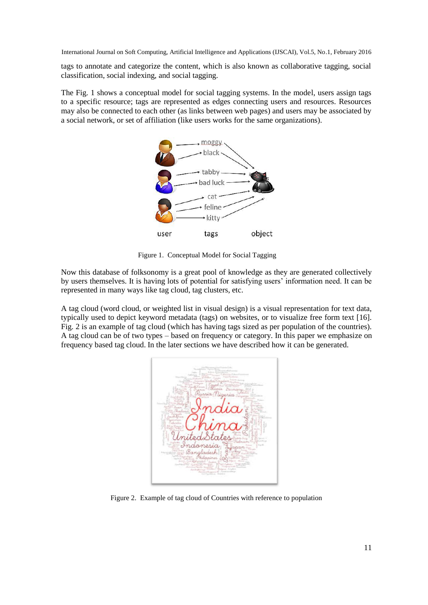tags to annotate and categorize the content, which is also known as collaborative tagging, social classification, social indexing, and social tagging.

The Fig. 1 shows a conceptual model for social tagging systems. In the model, users assign tags to a specific resource; tags are represented as edges connecting users and resources. Resources may also be connected to each other (as links between web pages) and users may be associated by a social network, or set of affiliation (like users works for the same organizations).



Figure 1. Conceptual Model for Social Tagging

Now this database of folksonomy is a great pool of knowledge as they are generated collectively by users themselves. It is having lots of potential for satisfying users' information need. It can be represented in many ways like tag cloud, tag clusters, etc.

A tag cloud (word cloud, or weighted list in visual design) is a visual representation for text data, typically used to depict keyword metadata (tags) on websites, or to visualize free form text [16]. Fig. 2 is an example of tag cloud (which has having tags sized as per population of the countries). A tag cloud can be of two types – based on frequency or category. In this paper we emphasize on frequency based tag cloud. In the later sections we have described how it can be generated.



Figure 2. Example of tag cloud of Countries with reference to population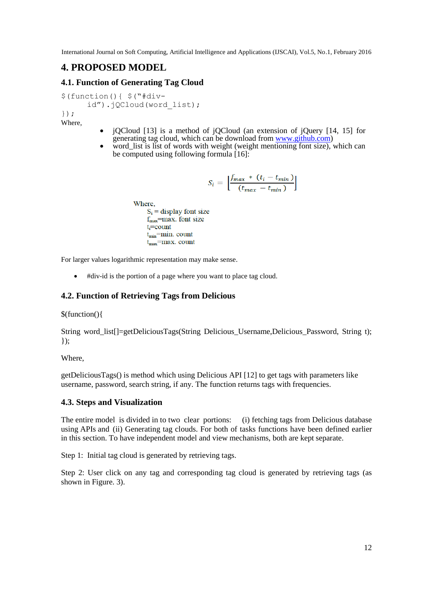# **4. PROPOSED MODEL**

#### **4.1. Function of Generating Tag Cloud**

\$(function(){ \$("#divid").jQCloud(word list);

}); Where,

- jQCloud [13] is a method of jQCloud (an extension of jQuery [14, 15] for generating tag cloud, which can be download from [www.github.com\)](http://www.github.com/)
- word\_list is list of words with weight (weight mentioning font size), which can be computed using following formula  $\left[16\right]$ :

$$
S_i = \left[ \frac{f_{max} * (t_i - t_{min})}{(t_{max} - t_{min})} \right]
$$

**Where**  $S_i$  = display font size  $f_{\text{max}}$ =max. font size  $t_i$ =count  $t_{\min}$ =min. count  $t_{\rm max}$ =max. count

For larger values logarithmic representation may make sense.

#div-id is the portion of a page where you want to place tag cloud.

#### **4.2. Function of Retrieving Tags from Delicious**

\$(function(){

String word\_list[]=getDeliciousTags(String Delicious\_Username,Delicious\_Password, String t);  $\}$ );

Where,

getDeliciousTags() is method which using Delicious API [12] to get tags with parameters like username, password, search string, if any. The function returns tags with frequencies.

#### **4.3. Steps and Visualization**

The entire model is divided in to two clear portions: (i) fetching tags from Delicious database using APIs and (ii) Generating tag clouds. For both of tasks functions have been defined earlier in this section. To have independent model and view mechanisms, both are kept separate.

Step 1: Initial tag cloud is generated by retrieving tags.

Step 2: User click on any tag and corresponding tag cloud is generated by retrieving tags (as shown in Figure. 3).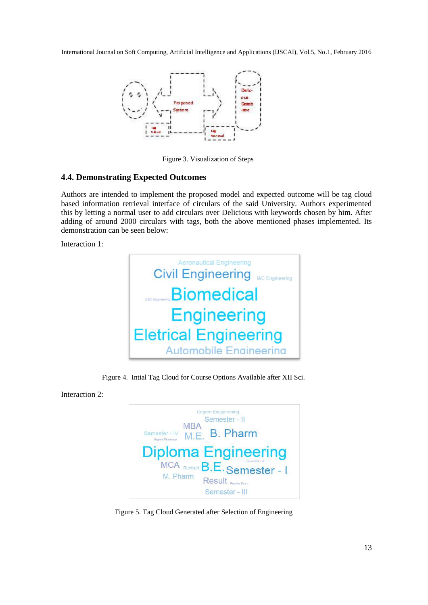

Figure 3. Visualization of Steps

#### **4.4. Demonstrating Expected Outcomes**

Authors are intended to implement the proposed model and expected outcome will be tag cloud based information retrieval interface of circulars of the said University. Authors experimented this by letting a normal user to add circulars over Delicious with keywords chosen by him. After adding of around 2000 circulars with tags, both the above mentioned phases implemented. Its demonstration can be seen below:

Interaction 1:



Figure 4. Intial Tag Cloud for Course Options Available after XII Sci.

Interaction 2:



Figure 5. Tag Cloud Generated after Selection of Engineering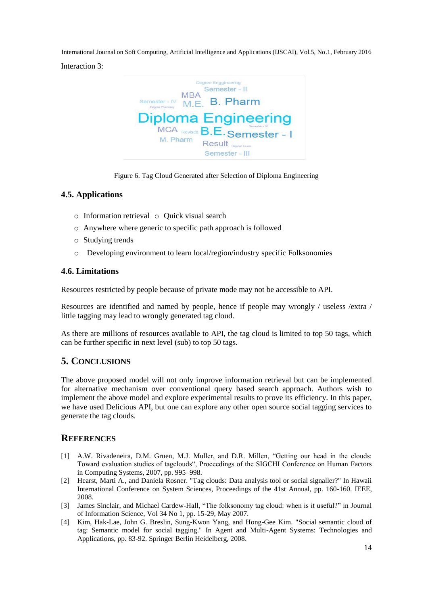Interaction 3:



Figure 6. Tag Cloud Generated after Selection of Diploma Engineering

#### **4.5. Applications**

- $\circ$  Information retrieval  $\circ$  Ouick visual search
- o Anywhere where generic to specific path approach is followed
- o Studying trends
- o Developing environment to learn local/region/industry specific Folksonomies

#### **4.6. Limitations**

Resources restricted by people because of private mode may not be accessible to API.

Resources are identified and named by people, hence if people may wrongly / useless /extra / little tagging may lead to wrongly generated tag cloud.

As there are millions of resources available to API, the tag cloud is limited to top 50 tags, which can be further specific in next level (sub) to top 50 tags.

## **5. CONCLUSIONS**

The above proposed model will not only improve information retrieval but can be implemented for alternative mechanism over conventional query based search approach. Authors wish to implement the above model and explore experimental results to prove its efficiency. In this paper, we have used Delicious API, but one can explore any other open source social tagging services to generate the tag clouds.

#### **REFERENCES**

- [1] A.W. Rivadeneira, D.M. Gruen, M.J. Muller, and D.R. Millen, "Getting our head in the clouds: Toward evaluation studies of tagclouds", Proceedings of the SIGCHI Conference on Human Factors in Computing Systems, 2007, pp. 995–998.
- [2] Hearst, Marti A., and Daniela Rosner. "Tag clouds: Data analysis tool or social signaller?" In Hawaii International Conference on System Sciences, Proceedings of the 41st Annual, pp. 160-160. IEEE, 2008.
- [3] James Sinclair, and Michael Cardew-Hall, "The folksonomy tag cloud: when is it useful?" in Journal of Information Science, Vol 34 No 1, pp. 15-29, May 2007.
- [4] Kim, Hak-Lae, John G. Breslin, Sung-Kwon Yang, and Hong-Gee Kim. "Social semantic cloud of tag: Semantic model for social tagging." In Agent and Multi-Agent Systems: Technologies and Applications, pp. 83-92. Springer Berlin Heidelberg, 2008.